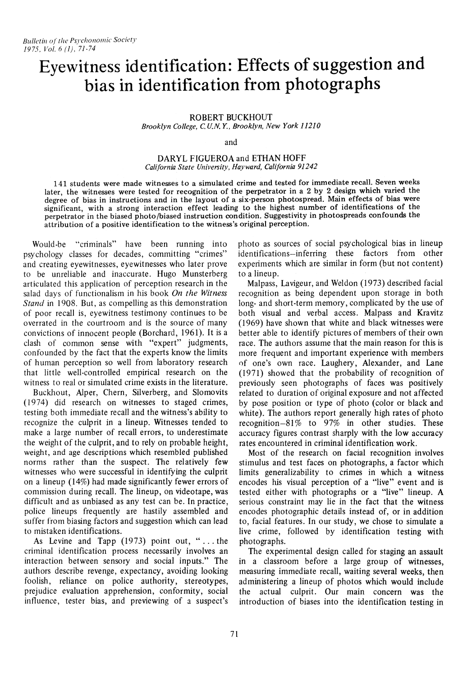# **Eyewitness identification: Effects of suggestion and bias in identification from photographs**

ROBERT BUCKHOUT *Brooklyn College.* C. *U.N.* Y.. *Brooklyn, New York 11210* 

and

## DARYL FIGUEROA and ETHAN HOFF *California State University, Hayward, California 91242*

141 students were made witnesses to a simulated crime and tested for immediate recall. Seven weeks later, the witnesses were tested for recognition of the perpetrator in a 2 by 2 design which varied the degree of bias in instructions and in the layout of a six-person photospread. Main effects of bias were significant, with a strong interaction effect leading to the highest number of identifications of the perpetrator in the biased photo/biased instruction condition. Suggestivity in photospreads confounds the attribution of a positive identification to the witness's original perception.

Would·be "criminals" have been running into psychology classes for decades, committing "crimes" and creating eyewitnesses, eyewitnesses who later prove to be unreliable and inaccurate. Hugo Munsterberg articulated this application of perception research in the salad days of functionalism in his book *On the Witness Stand* in 1908. But, as compelling as this demonstration of poor recall is, eyewitness testimony continues to be overrated in the courtroom and is the source of many convictions of innocent people (Borchard, 1961). It is a clash of common sense with "expert" judgments, confounded by the fact that the experts know the limits of human perception so well from laboratory research that little well-controlled empirical research on the witness to real or simulated crime exists in the literature.

Buckhout, Alper, Chern, Silverberg, and Slomovits (1974) did research on witnesses to staged crimes, testing both immediate recall and the witness's ability to recognize the culprit in a lineup. Witnesses tended to make a large number of recall errors, to underestimate the weight of the culprit, and to rely on probable height, weight, and age descriptions which resembled published norms rather than the suspect. The relatively few witnesses who were successful in identifying the culprit on a lineup  $(14%)$  had made significantly fewer errors of commission during recalL The lineup, on videotape, was difficult and as unbiased as any test can be. In practice, police lineups frequently are hastily assembled and suffer from biasing factors and suggestion which can lead to mistaken identifications.

As Levine and Tapp (1973) point out, " ... the criminal identification process necessarily involves an interaction between sensory and social inputs." The authors describe revenge, expectancy, avoiding looking foolish, reliance on police authority, stereotypes, prejudice evaluation apprehension, conformity, social influence, tester bias, and previewing of a suspect's

photo as sources of social psychological bias in lineup identifications- inferring these factors from other experiments which are similar in form (but not content) to a lineup.

Malpass, Lavigeur, and Weldon (1973) described facial recognition as being dependent upon storage in both long- and short-term memory, complicated by the use of both visual and verbal access. Malpass and Kravitz (1969) have shown that white and black witnesses were better able to identify pictures of members of their own race. The authors assume that the main reason for this is more frequent and important experience with members of one's own race. Laughery, Alexander, and Lane (1971) showed that the probability of recognition of previously seen photographs of faces was positively related to duration of original exposure and not affected by pose position or type of photo (color or black and white). The authors report generally high rates of photo recognition-81% to 97% in other studies. These accuracy figures contrast sharply with the low accuracy rates encountered in criminal identification work.

Most of the research on facial recognition involves stimulus and test faces on photographs, a factor which limits generalizability to crimes in which a witness encodes his visual perception of a "live" event and is tested either with photographs or a "live" lineup. A serious constraint may lie in the fact that the witness encodes photographic details instead of, or in addition to, facial features. In our study, we chose to simulate a live crime, followed by identification testing with photographs.

The experimental design called for staging an assault in a classroom before a large group of witnesses, measuring immediate recall, waiting several weeks, then administering a lineup of photos which would include the actual culprit. Our main concern was the introduction of biases into the identification testing in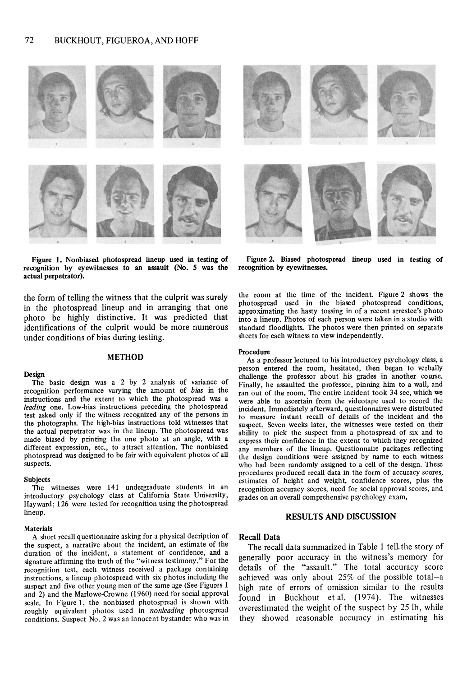

Figure 1. Nonbiased photospread lineup used in testing of recognition by eyewitnesses to an assault (No. 5 was the actual perpetrator).

the form of telling the witness that the culprit was surely in the photospread lineup and in arranging that one photo be highly distinctive. It was predicted that identifications of the culprit would be more numerous under conditions of bias during testing.

# METHOD

#### Design

The basic design was a 2 by 2 analysis of variance of recognition performance varying the amount of bias in the instructions and the extent to which the photospread was a *leading* one. Low-bias instructions preceding the photospread test asked only if the witness recognized any of the persons in the photographs. The high-bias instructions told witnesses that the actual perpetrator was in the lineup. The photospread was made biased by printing the one photo at an angle, with a different expression, etc., to attract attention. The nonbiased photospread was designed to be fair with equivalent photos of all suspects.

#### Subjects

The witnesses were 141 undergraduate students in an introductory psychology class at California State University, Hayward; 126 were tested for recognition using the photospread lineup.

#### Materials

A short recall questionnaire asking for a physical decription of the suspect, a narrative about the incident, an estimate of the duration of the incident, a statement of confidence, and a signature affirming the truth of the "witness testimony." For the recognition test, each witness received a package containing instructions, a lineup photospread with six photos including the suspect and five other young men of the same age (See Figures 1) and 2) and the Marlowe-Crowne (1960) need for social approval scale. In Figure 1, the nonbiased photospread is shown with roughly equivalent photos used in *nonleading* photospread conditions. Suspect No.2 was an innocent bystander who was in

Figure 2. Biased photospread lineup used in testing of recognition by eyewitnesses.

the room at the time of the incident. Figure 2 shows the photospread used in the biased photospread conditions, approximating the hasty tossing in of a recent arrestee's photo into a lineup. Photos of each person were taken in a studio with standard floodlights. The photos were then printed on separate sheets for each witness to view independently.

#### Procedure

As a professor lectured to his introductory psychology class, a person entered the room, hesitated, then began to verbally challenge the professor about his grades in another course. Finally, he assaulted the professor, pinning him to a wall, and ran out of the room. The entire incident took 34 sec, which we were able to ascertain from the videotape used to record the incident. Immediately afterward, questionnaires were distributed to measure instant recall of details of the incident and the suspect. Seven weeks later, the witnesses were tested on their ability to pick the suspect from a photospread of six and to express their confidence in the extent to which they recognized any members of the lineup. Questionnaire packages reflecting the design conditions were assigned by name to each witness who had been randomly assigned to a cell of the design. These procedures produced recall data in the form of accuracy scores, estimates of height and weight, confidence scores, plus the recognition accuracy scores, need for social approval scores, and grades on an overall comprehensive psychology exam.

#### RESULTS AND DISCUSSION

### Recall Data

The recall data summarized in Table I tell. the story of generally poor accuracy in the witness's memory for details of the "assault." The total accuracy score achieved was only about 25% of the possible total-a high rate of errors of omission similar to the results found in Buckhout et a1. (1974). The witnesses overestimated the weight of the suspect by 25 lb, while they showed reasonable accuracy in estimating his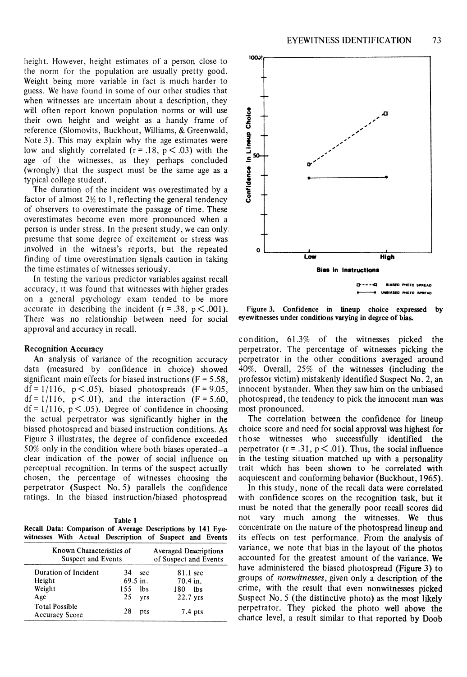height. However, height estimates of a person close to the norm for the population are usually pretty good. Weight being more variable in fact is much harder to guess. We have found in some of our other studies that when witnesses are uncertain about a description, they will often report known population norms or will use their own height and weight as a handy frame of reference (Slomovits, Buckhout, Williams, & Greenwald, Note 3). This may explain why the age estimates were low and slightly correlated  $(r = .18, p < .03)$  with the age of the witnesses, as they perhaps concluded (wrongly) that the suspect must be the same age as a typical college student.

The duration of the incident was overestimated by a factor of almost  $2\frac{1}{2}$  to 1, reflecting the general tendency of observers to overestimate the passage of time. These overestimates become even more pronounced when a person is under stress. In the present study, we can only. presume that some degree of excitement or stress was involved in the witness's reports, but the repeated finding of time overestimation signals caution in taking the time estimates of witnesses seriously.

In testing the various predictor variables against recall accuracy, it was found that witnesses with higher grades on a general psychology exam tended to be more accurate in describing the incident ( $r = .38$ ,  $p < .001$ ). There was no relationship between need for social approval and accuracy in recall.

#### Recognition Accuracy

An analysis of variance of the recognition accuracy data (measured by confidence in choice) showed significant main effects for biased instructions ( $F = 5.58$ , df =  $1/116$ , p < .05), biased photospreads (F = 9.05,  $df = 1/116$ ,  $p < .01$ ), and the interaction (F = 5.60,  $df = 1/116$ ,  $p < .05$ ). Degree of confidence in choosing the actual perpetrator was significantly higher in the biased photospread and biased instruction conditions. As Figure 3 illustrates, the degree of confidence exceeded 50% only in the condition where both biases operated-a clear indication of the power of social influence on perceptual recognition. In terms of the suspect actually chosen, the percentage of witnesses choosing the perpetrator (Suspect No.5) parallels the confidence ratings. In the biased instruction/biased photospread

|  | Table 1                                                     |  |  |
|--|-------------------------------------------------------------|--|--|
|  | Recall Data: Comparison of Average Descriptions by 141 Eye- |  |  |
|  | witnesses With Actual Description of Suspect and Events     |  |  |

| Known Characteristics of<br><b>Suspect and Events</b> | <b>Averaged Descriptions</b><br>of Suspect and Events |            |            |
|-------------------------------------------------------|-------------------------------------------------------|------------|------------|
| Duration of Incident                                  | 34                                                    | sec        | 81.1 sec   |
| Height                                                | $69.5$ in.                                            |            | 70.4 in.   |
| Weight                                                | 155                                                   | lbs        | 180<br>lbs |
| Age                                                   | 25                                                    | <b>VIS</b> | 22.7 yrs   |
| <b>Total Possible</b><br><b>Accuracy Score</b>        | 28                                                    | pts        | 7.4 pts    |



Figure 3. Confidence in lineup choice expressed by eyewitnesses under conditions varying in degree of bias.

condition, 61.3% of the witnesses picked the perpetrator. The percentage of witnesses picking the perpetrator in the other conditions averaged around 40%. Overall, 25% of the witnesses (including the professor victim) mistakenly identified Suspect No.2, an innocent bystander. When they saw him on the unbiased photospread, the tendency to pick the innocent man was most pronounced.

The correlation between the confidence for lineup choice score and need for social approval was highest for those witnesses who successfully identified the perpetrator ( $r = .31$ ,  $p < .01$ ). Thus, the social influence in the testing situation matched up with a personality trait which has been shown to be correlated with acquiescent and conforming behavior (Buckhout, 1965).

In this study, none of the recall data were correlated with confidence scores on the recognition task, but it must be noted that the generally poor recall scores did not vary much among the witnesses. We thus concentrate on the nature of the photospread lineup and its effects on test performance. From the analysis of variance, we note that bias in the layout of the photos accounted for the greatest amount of the variance. We have administered the biased photospread (Figure 3) to groups of *nonwitnesses,* given only a description of the crime, with the result that even nonwitnesses picked Suspect No.5 (the distinctive photo) as the most likely perpetrator. They picked the photo well above the chance level, a result similar to that reported by Doob